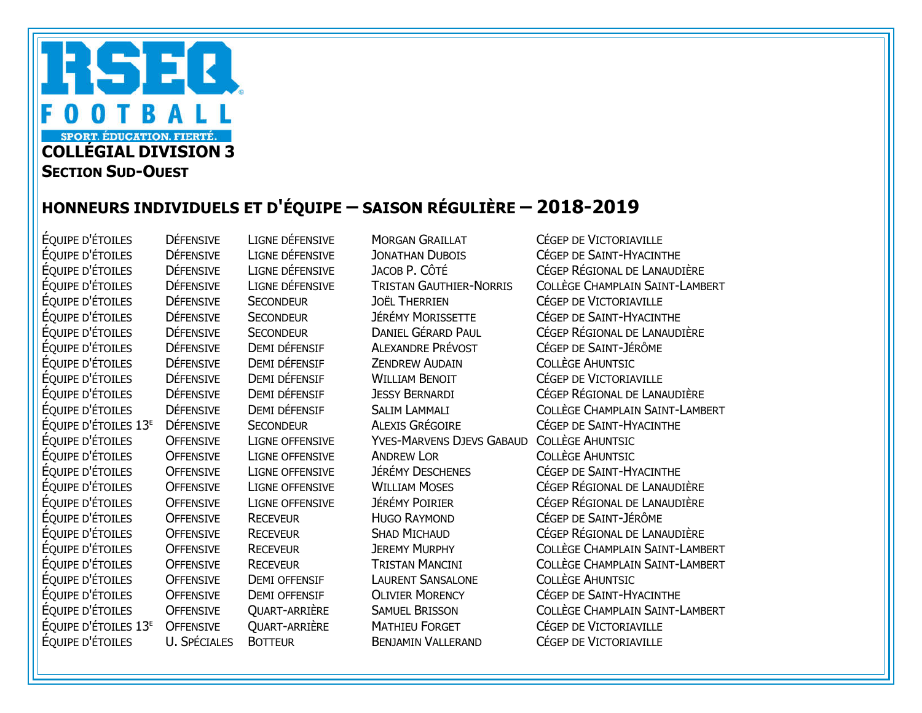## RSEQ OTBALL  $\bf{0}$ **SPORT. ÉDUCATION. FIERTÉ.** COLLÉGIAL DIVISION 3 **SECTION SUD-OUEST**

## HONNEURS INDIVIDUELS ET D'ÉQUIPE – SAISON RÉGULIÈRE – 2018-2019

ÉQUIPE D'ÉTOILES U. SPÉCIALES BOTTEUR BENJAMIN VALLERAND CÉGEP DE VICTORIAVILLE

ÉQUIPE D'ÉTOILES DÉFENSIVE LIGNE DÉFENSIVE MORGAN GRAILLAT CÉGEP DE VICTORIAVILLE DÉFENSIVE SECONDEUR JOËL THERRIEN CÉGEP DE VICTORIAVILLE DÉFENSIVE DEMI DÉFENSIF ALEXANDRE PRÉVOST CÉGEP DE SAINT-JÉRÔME ÉQUIPE D'ÉTOILES DÉFENSIVE DEMI DÉFENSIF ZENDREW AUDAIN COLLÈGE AHUNTSIC ÉQUIPE D'ÉTOILES DÉFENSIVE DEMI DÉFENSIF WILLIAM BENOIT CÉGEP DE VICTORIAVILLE ÉQUIPE D'ÉTOILES OFFENSIVE LIGNE OFFENSIVE YVES-MARVENS DJEVS GABAUD COLLÈGE AHUNTSIC ÉQUIPE D'ÉTOILES OFFENSIVE LIGNE OFFENSIVE ANDREW LOR COLLÈGE AHUNTSIC ÉQUIPE D'ÉTOILES OFFENSIVE RECEVEUR HUGO RAYMOND CÉGEP DE SAINT-JÉRÔME ÉQUIPE D'ÉTOILES OFFENSIVE DEMI OFFENSIF LAURENT SANSALONE COLLÈGE AHUNTSIC ÉQUIPE D'ÉTOILES 13E OFFENSIVE QUART-ARRIÈRE MATHIEU FORGET CÉGEP DE VICTORIAVILLE

ÉQUIPE D'ÉTOILES DÉFENSIVE LIGNE DÉFENSIVE JONATHAN DUBOIS CÉGEP DE SAINT-HYACINTHE ÉQUIPE D'ÉTOILES DÉFENSIVE LIGNE DÉFENSIVE JACOB P. CÔTÉ CÉGEP RÉGIONAL DE LANAUDIÈRE ÉQUIPE D'ÉTOILES DÉFENSIVE LIGNE DÉFENSIVE TRISTAN GAUTHIER-NORRIS COLLÈGE CHAMPLAIN SAINT-LAMBERT<br>ÉQUIPE D'ÉTOILES DÉFENSIVE SECONDEUR JOËL THERRIEN CÉGEP DE VICTORIAVILLE ÉQUIPE D'ÉTOILES DÉFENSIVE SECONDEUR JÉRÉMY MORISSETTE CÉGEP DE SAINT-HYACINTHE ÉQUIPE D'ÉTOILES DÉFENSIVE SECONDEUR DANIEL GÉRARD PAUL CÉGEP RÉGIONAL DE LANAUDIÈRE<br>ÉQUIPE D'ÉTOILES DÉFENSIVE DEMI DÉFENSIF ALEXANDRE PRÉVOST CÉGEP DE SAINT-JÉRÔME ÉQUIPE D'ÉTOILES DÉFENSIVE DEMI DÉFENSIF JESSY BERNARDI CÉGEP RÉGIONAL DE LANAUDIÈRE ÉQUIPE D'ÉTOILES DÉFENSIVE DEMI DÉFENSIF SALIM LAMMALI COLLÈGE CHAMPLAIN SAINT-LAMBERT ÉQUIPE D'ÉTOILES 13<sup>e</sup> Défensive Secondeur Alexis Grégoire Cégep de Saint-Hyacinthe<br>Équipe d'Étoiles Offensive Ligne offensive Yves-Marvens Djevs Gabaud Collège Ahuntsic ÉQUIPE D'ÉTOILES OFFENSIVE LIGNE OFFENSIVE JÉRÉMY DESCHENES CÉGEP DE SAINT-HYACINTHE ÉQUIPE D'ÉTOILES OFFENSIVE LIGNE OFFENSIVE WILLIAM MOSES CÉGEP RÉGIONAL DE LANAUDIÈRE ÉQUIPE D'ÉTOILES OFFENSIVE LIGNE OFFENSIVE JÉRÉMY POIRIER CÉGEP RÉGIONAL DE LANAUDIÈRE ÉQUIPE D'ÉTOILES OFFENSIVE RECEVEUR SHAD MICHAUD CÉGEP RÉGIONAL DE LANAUDIÈRE ÉQUIPE D'ÉTOILES OFFENSIVE RECEVEUR JEREMY MURPHY COLLÈGE CHAMPLAIN SAINT-LAMBERT ÉQUIPE D'ÉTOILES OFFENSIVE RECEVEUR TRISTAN MANCINI COLLÈGE CHAMPLAIN SAINT-LAMBERT OFFENSIVE DEMI OFFENSIF OLIVIER MORENCY CÉGEP DE SAINT-HYACINTHE ÉQUIPE D'ÉTOILES OFFENSIVE QUART-ARRIÈRE SAMUEL BRISSON COLLÈGE CHAMPLAIN SAINT-LAMBERT